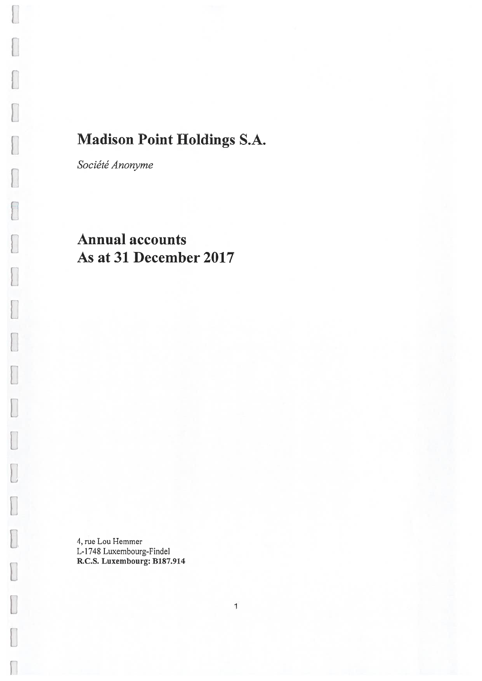# Madison Point Holdings \$.A.

Société Anonyme

L

E

Π

# Annual accounts As at 31 December 2017

4, rue Lou Hemmer L-1748 Luxembourg-Findel R.C.S. Luxembourg: B187.914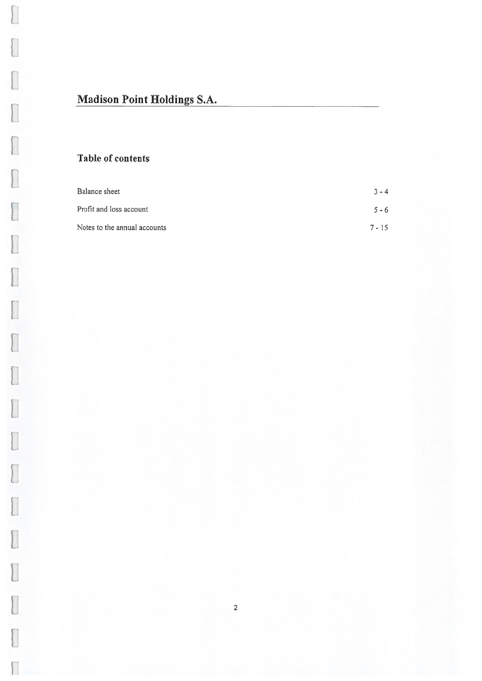# Madison Point Holdings S.A.

# Table of contents

L

 $\begin{bmatrix} \phantom{-} \end{bmatrix}$ 

 $\begin{bmatrix} \phantom{-} \end{bmatrix}$ 

 $\sqrt{2}$ 

 $\sqrt{2}$ 

 $\sqrt{2}$ 

 $\sqrt{2}$ 

E

I

E

I

l

 $\begin{bmatrix} \end{bmatrix}$ 

 $\sqrt{2}$ 

| Balance sheet                |          | $3 - 4$ |
|------------------------------|----------|---------|
| Profit and loss account      |          | $5 - 6$ |
| Notes to the annual accounts | $7 - 15$ |         |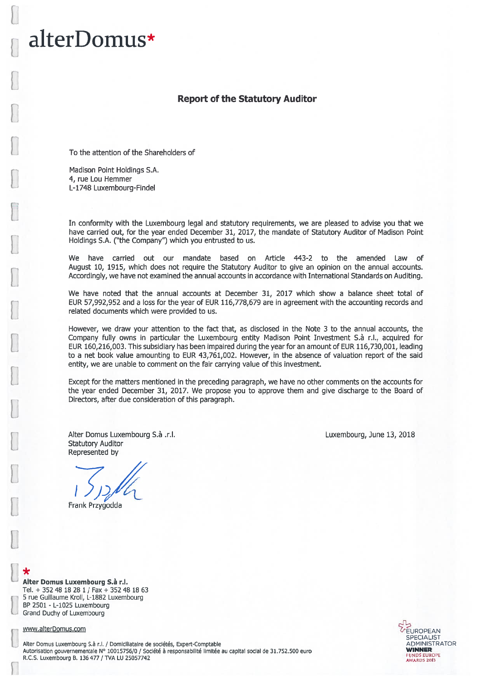# alterDomus\*

 $\overline{\phantom{a}}$ 

# Report of the Statutory Auditor

To the attention of the Shareholders of

Madison Point Holdings S.A. 4, rue Lou Hemmer L-1748 Luxembourg-Findel

In conformity with the Luxembourg legal and statutory requirements, we are pleased to advise you that we have carried out, for the year ended December 31, 2017, the mandate of Statutory Auditor of Madison Point Holdings S.A. ("the Company") which you entrusted to us.

We have carried out our mandate based on Article 443-2 to the amended Law of August 10, 1915, which does not require the Statutory Auditor to give an opinion on the annual accounts. Accordingly, we have not examined the annual accounts in accordance with International Standards on Auditing.

We have noted that the annual accounts at December 31, 2017 which show <sup>a</sup> balance sheet total of EUR 57,992,952 and <sup>a</sup> loss for the year of EUR 116,778,679 are in agreemen<sup>t</sup> with the accounting records and related documents which were provided to us.

However, we draw your attention to the fact that, as disclosed in the Note 3 to the annual accounts, the Company fully owns in particular the Luxembourg entity Madison Point Investment S.ä r.l., acquired for EUR 160,216,003. This subsidiary has been impaired during the year for an amount of EUR 116,730,001, leading to <sup>a</sup> net book value amounting to EUR 43,761,002. However, in the absence of valuation repor<sup>t</sup> of the said entity, we are unable to comment on the fair carrying value of this investment.

Except for the matters mentioned in the preceding paragraph, we have no other comments on the accounts for the year ended December 31, 2017. We propose you to approve them and give discharge to the Board of Directors, after due consideration of this paragraph.

Alter Domus Luxembourg S.ã .r.l. Luxembourg, June 13, 2018 **Statutory Auditor** Represented by

Frank Przygodda

Alter Domus Luxembourg S.à r.I. Tel. <sup>+</sup> 352 48 18 28 1/ Fax <sup>+</sup> 352 48 18 63 5 rue Guillaume Kroll, L-1882 Luxembourg BP 2501 - L-1025 Luxembourg Grand Duchy of Luxembourg

www.alterDomus.com VEUROPEAN

Alter Domus Luxembourg S.à r.l. / Domiciliataire de sociétés, Expert-Comptable<br>Autorisation gouvernementale N° 10015756/0 / Société à responsabilité limitée au canital social de 31.752.500 euro Autorisation gouvernementale N° 10015756/0 / Société à responsabilité limitée au capital social de 31.752.500 euro MINIER<br>R.C.S. Luxembourg B. 136 477 / TVA LU 25057742 R.C.S. Luxembourg B. 136 477 / TVA LU 25057742

SPECIALIST<br>ADMINISTRATOR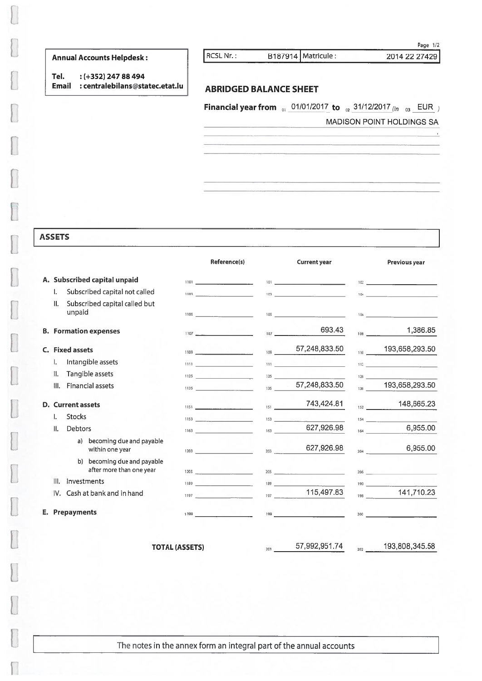## Annual Accounts Helpdesk:

Tel. : (+352) 24788494 Email : centralebilans@statec.etat.lu RCSL Nr.: B187914 Matricule: 2014 22 27429

## ABRIDGED BALANCE SHEET

Financial year from  $\frac{01}{1012017}$  to  $\frac{31}{122017}$  (in  $\frac{03}{101}$  EUR )

MADISON POINT HOLDINGS SA

Page 1/2

# ASSETS

|    |                                                         | Reference(s)                                                                                                  |     | <b>Current year</b>                                                                                                                                                                                                                                                                     |     | <b>Previous year</b> |
|----|---------------------------------------------------------|---------------------------------------------------------------------------------------------------------------|-----|-----------------------------------------------------------------------------------------------------------------------------------------------------------------------------------------------------------------------------------------------------------------------------------------|-----|----------------------|
|    | A. Subscribed capital unpaid                            | $1101$ and $101$ and $101$ and $101$ and $101$                                                                |     | $101$ and $\frac{1}{2}$ and $\frac{1}{2}$ and $\frac{1}{2}$ and $\frac{1}{2}$ and $\frac{1}{2}$ and $\frac{1}{2}$ and $\frac{1}{2}$ and $\frac{1}{2}$ and $\frac{1}{2}$ and $\frac{1}{2}$ and $\frac{1}{2}$ and $\frac{1}{2}$ and $\frac{1}{2}$ and $\frac{1}{2}$ and $\frac{1}{2}$ and |     | 102                  |
|    | Subscribed capital not called<br>$\mathbf{L}$           | $1103$ and $1103$ and $1103$ and $1103$                                                                       |     | $\begin{tabular}{c} 103 \end{tabular}$                                                                                                                                                                                                                                                  |     | 104                  |
|    | Subscribed capital called but<br>II.<br>unpaid          |                                                                                                               |     | $\begin{tabular}{c} 105 \end{tabular}$                                                                                                                                                                                                                                                  |     | 106                  |
|    | <b>B.</b> Formation expenses                            | 1107 1107                                                                                                     |     | 693.43<br>107                                                                                                                                                                                                                                                                           |     | 1,386.85<br>108      |
|    | C. Fixed assets                                         | 1109 (110) 110 (120) 120 (120) 120 (120) 120 (120) 120 (120) 120 (120) 120 (120) 120 (120) 120 (120) 120 (120 |     | $\frac{57,248,833.50}{2}$                                                                                                                                                                                                                                                               |     | $110$ 193,658,293.50 |
|    | Intangible assets<br>Ι.                                 | 1111 Julie 1 and 1 and 1 and 1 and                                                                            |     | man and the control of the con-                                                                                                                                                                                                                                                         |     |                      |
|    | Tangible assets<br>$\mathbf{II}$ .                      | 1125                                                                                                          |     | 125                                                                                                                                                                                                                                                                                     |     | 126                  |
|    | Financial assets<br>III.                                |                                                                                                               | 135 | 57,248,833.50                                                                                                                                                                                                                                                                           | 136 | 193,658,293.50       |
|    | D. Current assets                                       | 1151 ___________________________                                                                              |     | 743,424.81<br>151                                                                                                                                                                                                                                                                       |     | $152$ 148,665.23     |
|    | <b>Stocks</b><br>L.                                     |                                                                                                               |     | $153$ and $153$ and $153$ and $153$ and $153$                                                                                                                                                                                                                                           |     | 154                  |
|    | <b>Debtors</b><br>II.                                   | $1163$ and $1163$ and $1163$ and $1163$                                                                       |     | 627,926.98<br>163                                                                                                                                                                                                                                                                       |     | 6,955.00<br>164      |
|    | a) becoming due and payable<br>within one year          | 1203                                                                                                          |     | $rac{627,926.98}{ }$                                                                                                                                                                                                                                                                    |     | 6,955.00<br>204      |
|    | b) becoming due and payable<br>after more than one year | 1205                                                                                                          |     |                                                                                                                                                                                                                                                                                         |     | 206                  |
|    | Investments<br>III.                                     |                                                                                                               |     |                                                                                                                                                                                                                                                                                         |     |                      |
|    | Cash at bank and in hand<br>IV.                         | 1197                                                                                                          |     | 115,497.83<br>$197 \quad \overline{\qquad}$                                                                                                                                                                                                                                             |     | 141,710.23           |
| Е. | Prepayments                                             |                                                                                                               |     | 199                                                                                                                                                                                                                                                                                     |     | $200 - 100$          |
|    |                                                         | <b>TOTAL (ASSETS)</b>                                                                                         | 201 | 57,992,951.74                                                                                                                                                                                                                                                                           | 202 | 193,808,345.58       |

The notes in the annex form an integral par<sup>t</sup> of the annual accounts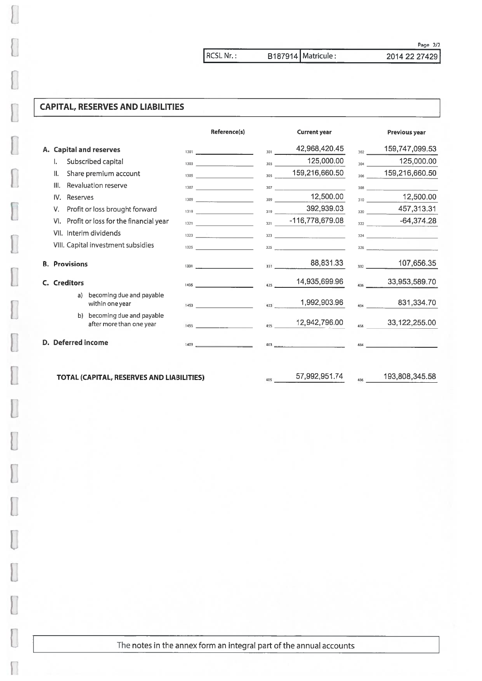# CAPITAL, RESERVES AND LIABILITIES

L

I

 $\sqrt{2}$ 

|                      |                                                         |                                                                                                                                                                                                                                                                                                                                                                                                                                     |                |                                                                                                                                                                                                                                                                                                                                                                                                                                                                         |     | Page 2/2                                                                                                                                                                                                                                                                                                                                                                                                              |
|----------------------|---------------------------------------------------------|-------------------------------------------------------------------------------------------------------------------------------------------------------------------------------------------------------------------------------------------------------------------------------------------------------------------------------------------------------------------------------------------------------------------------------------|----------------|-------------------------------------------------------------------------------------------------------------------------------------------------------------------------------------------------------------------------------------------------------------------------------------------------------------------------------------------------------------------------------------------------------------------------------------------------------------------------|-----|-----------------------------------------------------------------------------------------------------------------------------------------------------------------------------------------------------------------------------------------------------------------------------------------------------------------------------------------------------------------------------------------------------------------------|
|                      |                                                         | RCSL Nr.:                                                                                                                                                                                                                                                                                                                                                                                                                           |                | B187914   Matricule:                                                                                                                                                                                                                                                                                                                                                                                                                                                    |     | 2014 22 27429                                                                                                                                                                                                                                                                                                                                                                                                         |
|                      | <b>CAPITAL, RESERVES AND LIABILITIES</b>                |                                                                                                                                                                                                                                                                                                                                                                                                                                     |                |                                                                                                                                                                                                                                                                                                                                                                                                                                                                         |     |                                                                                                                                                                                                                                                                                                                                                                                                                       |
|                      |                                                         | Reference(s)                                                                                                                                                                                                                                                                                                                                                                                                                        |                | <b>Current year</b>                                                                                                                                                                                                                                                                                                                                                                                                                                                     |     | <b>Previous year</b>                                                                                                                                                                                                                                                                                                                                                                                                  |
|                      | A. Capital and reserves                                 |                                                                                                                                                                                                                                                                                                                                                                                                                                     | $301$ $\qquad$ | 42,968,420.45                                                                                                                                                                                                                                                                                                                                                                                                                                                           | 302 | 159,747,099.53                                                                                                                                                                                                                                                                                                                                                                                                        |
| I.                   | Subscribed capital                                      | $\begin{tabular}{c} \hline 1303 \\ \hline \end{tabular}$                                                                                                                                                                                                                                                                                                                                                                            | 303 700        | 125,000.00                                                                                                                                                                                                                                                                                                                                                                                                                                                              |     | 125,000.00<br>304                                                                                                                                                                                                                                                                                                                                                                                                     |
| Ш.                   | Share premium account                                   | 1305                                                                                                                                                                                                                                                                                                                                                                                                                                |                | 159,216,660.50                                                                                                                                                                                                                                                                                                                                                                                                                                                          |     | 306 159,216,660.50                                                                                                                                                                                                                                                                                                                                                                                                    |
| Ш.                   | Revaluation reserve                                     | 1307                                                                                                                                                                                                                                                                                                                                                                                                                                |                |                                                                                                                                                                                                                                                                                                                                                                                                                                                                         |     |                                                                                                                                                                                                                                                                                                                                                                                                                       |
| IV. Reserves         |                                                         | $\begin{tabular}{c} \bf 1309 \\ \hline \end{tabular}$                                                                                                                                                                                                                                                                                                                                                                               |                | $\frac{1}{309}$ 12,500.00                                                                                                                                                                                                                                                                                                                                                                                                                                               |     | $\frac{310}{2}$ 12,500.00                                                                                                                                                                                                                                                                                                                                                                                             |
| V.                   | Profit or loss brought forward                          | $1319$                                                                                                                                                                                                                                                                                                                                                                                                                              |                | 392,939.03                                                                                                                                                                                                                                                                                                                                                                                                                                                              |     | $\frac{457,313.31}{ }$                                                                                                                                                                                                                                                                                                                                                                                                |
|                      | VI. Profit or loss for the financial year               | $1321$                                                                                                                                                                                                                                                                                                                                                                                                                              |                | $\frac{1}{321}$ -116,778,679.08                                                                                                                                                                                                                                                                                                                                                                                                                                         |     | $-64,374.28$<br>$322$ $\phantom{0}$                                                                                                                                                                                                                                                                                                                                                                                   |
|                      | VII. Interim dividends                                  | $\begin{array}{c c c c c} \hline \multicolumn{3}{c }{\textbf{1323}} & \multicolumn{3}{c }{\textbf{1325}} \\ \hline \multicolumn{3}{c }{\textbf{1323}} & \multicolumn{3}{c }{\textbf{1323}} \\ \hline \multicolumn{3}{c }{\textbf{1323}} & \multicolumn{3}{c }{\textbf{1323}} \\ \hline \multicolumn{3}{c }{\textbf{1323}} & \multicolumn{3}{c }{\textbf{1323}} \\ \hline \multicolumn{3}{c }{\textbf{1323}} & \multicolumn{3}{c }{$ |                |                                                                                                                                                                                                                                                                                                                                                                                                                                                                         |     | $\begin{array}{c c c c c} \hline \multicolumn{3}{c c }{\multicolumn{3}{c c }{\multicolumn{3}{c c }{\multicolumn{3}{c c }{\multicolumn{3}{c c }{\multicolumn{3}{c c }{\multicolumn{3}{c c }{\multicolumn{3}{c c }{\multicolumn{3}{c c }{\multicolumn{3}{c c }{\multicolumn{3}{c c }{\multicolumn{3}{c c }{\multicolumn{3}{c c }{\multicolumn{3}{c c }{\multicolumn{3}{c c }{\multicolumn{3}{c c }{\multicolumn{3}{c c$ |
|                      | VIII. Capital investment subsidies                      | 1325 $\qquad$                                                                                                                                                                                                                                                                                                                                                                                                                       |                | $325$ $\overline{\phantom{a}}$ $\overline{\phantom{a}}$ $\overline{\phantom{a}}$ $\overline{\phantom{a}}$ $\overline{\phantom{a}}$ $\overline{\phantom{a}}$ $\overline{\phantom{a}}$ $\overline{\phantom{a}}$ $\overline{\phantom{a}}$ $\overline{\phantom{a}}$ $\overline{\phantom{a}}$ $\overline{\phantom{a}}$ $\overline{\phantom{a}}$ $\overline{\phantom{a}}$ $\overline{\phantom{a}}$ $\overline{\phantom{a}}$ $\overline{\phantom{a}}$ $\overline{\phantom{a}}$ |     |                                                                                                                                                                                                                                                                                                                                                                                                                       |
| <b>B. Provisions</b> |                                                         | $1331$ and $1331$ and $1331$ and $1331$ and $1331$ and $1331$ and $1331$ and $1331$ and $1331$ and $1331$ and $1331$ and $1331$ and $1331$ and $1331$ and $1331$ and $1331$ and $1331$ and $1331$ and $1331$ and $1331$ and                                                                                                                                                                                                         |                | 88,831.33                                                                                                                                                                                                                                                                                                                                                                                                                                                               |     | 332 107,656.35                                                                                                                                                                                                                                                                                                                                                                                                        |
| C. Creditors         |                                                         | 1435                                                                                                                                                                                                                                                                                                                                                                                                                                |                | 14,935,699.96                                                                                                                                                                                                                                                                                                                                                                                                                                                           |     | 436 33,953,589.70                                                                                                                                                                                                                                                                                                                                                                                                     |
| a)                   | becoming due and payable<br>within one year             | 1453                                                                                                                                                                                                                                                                                                                                                                                                                                | 453            | 1,992,903.96                                                                                                                                                                                                                                                                                                                                                                                                                                                            | 454 | 831,334.70                                                                                                                                                                                                                                                                                                                                                                                                            |
|                      | b) becoming due and payable<br>after more than one year |                                                                                                                                                                                                                                                                                                                                                                                                                                     |                | 12,942,796.00                                                                                                                                                                                                                                                                                                                                                                                                                                                           |     | 33,122,255.00                                                                                                                                                                                                                                                                                                                                                                                                         |
| D. Deferred income   |                                                         | 1403                                                                                                                                                                                                                                                                                                                                                                                                                                | 403            |                                                                                                                                                                                                                                                                                                                                                                                                                                                                         | 404 |                                                                                                                                                                                                                                                                                                                                                                                                                       |
|                      | TOTAL (CAPITAL, RESERVES AND LIABILITIES)               |                                                                                                                                                                                                                                                                                                                                                                                                                                     | 405            | 57,992,951.74                                                                                                                                                                                                                                                                                                                                                                                                                                                           | 406 | 193,808,345.58                                                                                                                                                                                                                                                                                                                                                                                                        |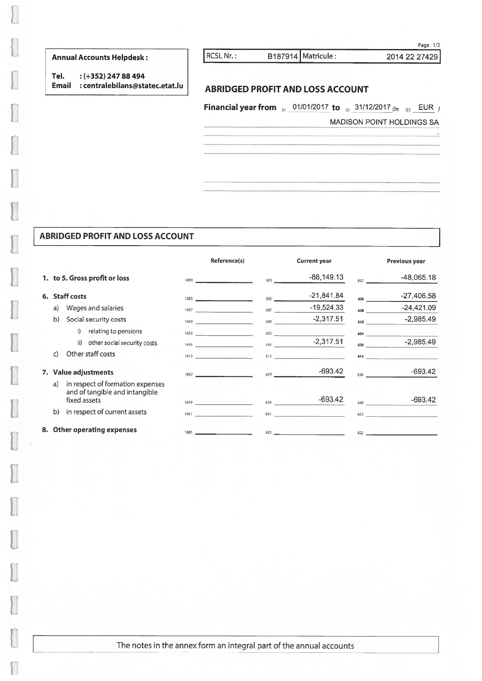# Annual Accounts Helpdesk: **industrial RCSL Nr.:** B187914 Matricule: 2014 22 27429

# ABRIDGED PROFIT AND LOSS ACCOUNT

## ABRIDGED PROFIT AND LOSS ACCOUNT

| 2014 22 27429                    |     | B187914   Matricule :                                                                |                                    | RCSL Nr.:                                                                                                                                                                                                                                                                                                                                                                                               |      | <b>Annual Accounts Helpdesk:</b>                                   |                               |      |  |
|----------------------------------|-----|--------------------------------------------------------------------------------------|------------------------------------|---------------------------------------------------------------------------------------------------------------------------------------------------------------------------------------------------------------------------------------------------------------------------------------------------------------------------------------------------------------------------------------------------------|------|--------------------------------------------------------------------|-------------------------------|------|--|
|                                  |     | <b>ABRIDGED PROFIT AND LOSS ACCOUNT</b>                                              |                                    |                                                                                                                                                                                                                                                                                                                                                                                                         |      | $:(+352)$ 247 88 494<br>Email : centralebilans@statec.etat.lu      |                               | Tel. |  |
|                                  |     | <b>Financial year from</b> $_{01}$ 01/01/2017 to $_{02}$ 31/12/2017 (in $_{03}$ EUR) |                                    |                                                                                                                                                                                                                                                                                                                                                                                                         |      |                                                                    |                               |      |  |
| <b>MADISON POINT HOLDINGS SA</b> |     |                                                                                      |                                    |                                                                                                                                                                                                                                                                                                                                                                                                         |      |                                                                    |                               |      |  |
|                                  |     |                                                                                      |                                    |                                                                                                                                                                                                                                                                                                                                                                                                         |      |                                                                    |                               |      |  |
|                                  |     |                                                                                      |                                    |                                                                                                                                                                                                                                                                                                                                                                                                         |      |                                                                    |                               |      |  |
|                                  |     |                                                                                      |                                    |                                                                                                                                                                                                                                                                                                                                                                                                         |      |                                                                    |                               |      |  |
|                                  |     |                                                                                      |                                    |                                                                                                                                                                                                                                                                                                                                                                                                         |      |                                                                    |                               |      |  |
|                                  |     |                                                                                      |                                    |                                                                                                                                                                                                                                                                                                                                                                                                         |      |                                                                    |                               |      |  |
|                                  |     |                                                                                      |                                    |                                                                                                                                                                                                                                                                                                                                                                                                         |      |                                                                    |                               |      |  |
|                                  |     |                                                                                      |                                    |                                                                                                                                                                                                                                                                                                                                                                                                         |      |                                                                    |                               |      |  |
|                                  |     |                                                                                      |                                    |                                                                                                                                                                                                                                                                                                                                                                                                         |      |                                                                    |                               |      |  |
|                                  |     |                                                                                      |                                    |                                                                                                                                                                                                                                                                                                                                                                                                         |      |                                                                    |                               |      |  |
|                                  |     |                                                                                      |                                    |                                                                                                                                                                                                                                                                                                                                                                                                         |      | <b>ABRIDGED PROFIT AND LOSS ACCOUNT</b>                            |                               |      |  |
| Previous year                    |     | <b>Current year</b>                                                                  |                                    | Reference(s)                                                                                                                                                                                                                                                                                                                                                                                            |      |                                                                    |                               |      |  |
| $-48,065.18$                     | 652 | $-88,149.13$                                                                         | 651                                | $1651$ and $\overline{0}$ and $\overline{0}$ and $\overline{0}$ and $\overline{0}$ and $\overline{0}$ and $\overline{0}$ and $\overline{0}$ and $\overline{0}$ and $\overline{0}$ and $\overline{0}$ and $\overline{0}$ and $\overline{0}$ and $\overline{0}$ and $\overline{0}$ and $\overline{0}$ and $\overline{0}$ and $\$                                                                          |      |                                                                    | 1. to 5. Gross profit or loss |      |  |
|                                  |     |                                                                                      |                                    |                                                                                                                                                                                                                                                                                                                                                                                                         |      |                                                                    | 6. Staff costs                |      |  |
| $-27,406.58$<br>$-24,421.09$     |     | $-21,841.84$<br>-19,524.33                                                           | $605$ $\qquad$<br>$607$ and $\sim$ | $1605$ and $\overline{\phantom{a}}$ and $\overline{\phantom{a}}$ and $\overline{\phantom{a}}$ and $\overline{\phantom{a}}$ and $\overline{\phantom{a}}$ and $\overline{\phantom{a}}$ and $\overline{\phantom{a}}$ and $\overline{\phantom{a}}$ and $\overline{\phantom{a}}$ and $\overline{\phantom{a}}$ and $\overline{\phantom{a}}$ and $\overline{\phantom{a}}$ and $\overline{\phantom{a}}$ and $\$ |      |                                                                    | a) Wages and salaries         |      |  |
| $-2,985.49$                      |     | $-2,317.51$                                                                          |                                    | 1609                                                                                                                                                                                                                                                                                                                                                                                                    |      |                                                                    | Social security costs         | b)   |  |
|                                  |     |                                                                                      | 653                                | 1653                                                                                                                                                                                                                                                                                                                                                                                                    |      | relating to pensions                                               | i                             |      |  |
|                                  |     |                                                                                      |                                    |                                                                                                                                                                                                                                                                                                                                                                                                         |      | ii) other social security costs                                    |                               |      |  |
|                                  |     | $-2,317.51$                                                                          |                                    | 1613 and the contract of the contract of $\mathcal{L}$                                                                                                                                                                                                                                                                                                                                                  |      |                                                                    | Other staff costs             | C)   |  |
| $-693.42$                        | 658 | $-693.42$                                                                            | 657                                |                                                                                                                                                                                                                                                                                                                                                                                                         | 1657 |                                                                    | 7. Value adjustments          |      |  |
|                                  |     |                                                                                      |                                    |                                                                                                                                                                                                                                                                                                                                                                                                         |      | in respect of formation expenses<br>and of tangible and intangible |                               | a)   |  |
| $-2,985.49$<br>$-693.42$         |     | $-693.42$                                                                            | 659                                |                                                                                                                                                                                                                                                                                                                                                                                                         |      |                                                                    | fixed assets                  |      |  |
| 662                              |     | <u> Martin College (Martin College)</u>                                              | 661                                | 1661                                                                                                                                                                                                                                                                                                                                                                                                    |      | b) in respect of current assets                                    |                               |      |  |
|                                  |     |                                                                                      |                                    |                                                                                                                                                                                                                                                                                                                                                                                                         |      |                                                                    |                               |      |  |

The notes in the annex form an integral par<sup>t</sup> of the annual accounts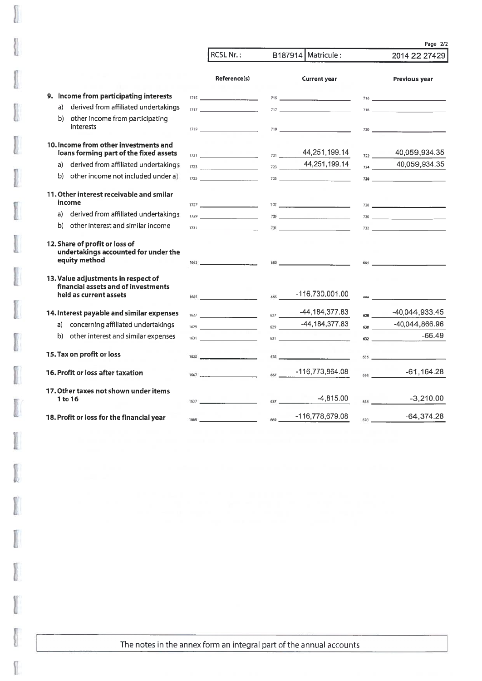|                                                                                                      |      | <b>RCSL Nr.:</b>                                                                                                                                                                                                                                                                                                               |     | B187914   Matricule:                                                                                                                                                                                                                                                                                                   |            | Page 2/2<br>2014 22 27429                                                                                                                                                                                                                                                                                                                                                                                  |
|------------------------------------------------------------------------------------------------------|------|--------------------------------------------------------------------------------------------------------------------------------------------------------------------------------------------------------------------------------------------------------------------------------------------------------------------------------|-----|------------------------------------------------------------------------------------------------------------------------------------------------------------------------------------------------------------------------------------------------------------------------------------------------------------------------|------------|------------------------------------------------------------------------------------------------------------------------------------------------------------------------------------------------------------------------------------------------------------------------------------------------------------------------------------------------------------------------------------------------------------|
|                                                                                                      |      | Reference(s)                                                                                                                                                                                                                                                                                                                   |     | <b>Current year</b>                                                                                                                                                                                                                                                                                                    |            | Previous year                                                                                                                                                                                                                                                                                                                                                                                              |
| 9. Income from participating interests                                                               |      |                                                                                                                                                                                                                                                                                                                                |     | 715 $\frac{1}{2}$ $\frac{1}{2}$ $\frac{1}{2}$ $\frac{1}{2}$ $\frac{1}{2}$ $\frac{1}{2}$ $\frac{1}{2}$ $\frac{1}{2}$ $\frac{1}{2}$ $\frac{1}{2}$ $\frac{1}{2}$ $\frac{1}{2}$ $\frac{1}{2}$ $\frac{1}{2}$ $\frac{1}{2}$ $\frac{1}{2}$ $\frac{1}{2}$ $\frac{1}{2}$ $\frac{1}{2}$ $\frac{1}{2}$ $\frac{1}{2}$ $\frac{1}{2$ |            | $716$ and $\frac{1}{2}$ and $\frac{1}{2}$ and $\frac{1}{2}$ and $\frac{1}{2}$ and $\frac{1}{2}$ and $\frac{1}{2}$ and $\frac{1}{2}$ and $\frac{1}{2}$ and $\frac{1}{2}$ and $\frac{1}{2}$ and $\frac{1}{2}$ and $\frac{1}{2}$ and $\frac{1}{2}$ and $\frac{1}{2}$ and $\frac{1}{2}$ and                                                                                                                    |
| derived from affiliated undertakings<br>a)                                                           |      | 1717                                                                                                                                                                                                                                                                                                                           |     | 717                                                                                                                                                                                                                                                                                                                    |            | 718 (1988)                                                                                                                                                                                                                                                                                                                                                                                                 |
| other income from participating<br>b)<br>interests                                                   |      | 1719                                                                                                                                                                                                                                                                                                                           |     | 719 — 2002 — 2003 — 2004 — 2005 — 2006 — 2007 — 2008 — 2008 — 2008 — 2008 — 2008 — 2008 — 2008 — 200                                                                                                                                                                                                                   |            |                                                                                                                                                                                                                                                                                                                                                                                                            |
| 10. Income from other investments and<br>loans forming part of the fixed assets                      |      | $1721$ and $\overline{a}$ and $\overline{a}$ and $\overline{a}$ and $\overline{a}$ and $\overline{a}$ and $\overline{a}$ and $\overline{a}$ and $\overline{a}$ and $\overline{a}$ and $\overline{a}$ and $\overline{a}$ and $\overline{a}$ and $\overline{a}$ and $\overline{a}$ and $\overline{a}$ and $\overline{a}$ and $\$ |     | $\frac{44,251,199.14}{2}$                                                                                                                                                                                                                                                                                              | 722        | 40,059,934.35                                                                                                                                                                                                                                                                                                                                                                                              |
| derived from affiliated undertakings<br>a)                                                           |      | 1723                                                                                                                                                                                                                                                                                                                           |     | $723$ 44,251,199.14                                                                                                                                                                                                                                                                                                    |            | $724$ 40,059,934.35                                                                                                                                                                                                                                                                                                                                                                                        |
| other income not included under a)<br>b)                                                             |      | 1725 $\qquad \qquad$                                                                                                                                                                                                                                                                                                           |     | 725                                                                                                                                                                                                                                                                                                                    |            |                                                                                                                                                                                                                                                                                                                                                                                                            |
| 11. Other interest receivable and smilar<br>income                                                   |      |                                                                                                                                                                                                                                                                                                                                |     | 727                                                                                                                                                                                                                                                                                                                    |            | $\begin{array}{ccccccccccccccccc}\n\hline\n\end{array}$                                                                                                                                                                                                                                                                                                                                                    |
| derived from affiliated undertakings<br>a)                                                           |      | $1729$                                                                                                                                                                                                                                                                                                                         |     |                                                                                                                                                                                                                                                                                                                        |            |                                                                                                                                                                                                                                                                                                                                                                                                            |
| other interest and similar income<br>b)                                                              |      |                                                                                                                                                                                                                                                                                                                                |     | 731                                                                                                                                                                                                                                                                                                                    |            |                                                                                                                                                                                                                                                                                                                                                                                                            |
| 12. Share of profit or loss of<br>undertakings accounted for under the<br>equity method              |      | 1663                                                                                                                                                                                                                                                                                                                           |     |                                                                                                                                                                                                                                                                                                                        |            | 664 864                                                                                                                                                                                                                                                                                                                                                                                                    |
| 13. Value adjustments in respect of<br>financial assets and of investments<br>held as current assets |      | 1665                                                                                                                                                                                                                                                                                                                           |     | $\frac{665}{665}$ -116,730,001.00                                                                                                                                                                                                                                                                                      |            | $666$ and $\overline{\phantom{a}}$ and $\overline{\phantom{a}}$ and $\overline{\phantom{a}}$ and $\overline{\phantom{a}}$ and $\overline{\phantom{a}}$ and $\overline{\phantom{a}}$ and $\overline{\phantom{a}}$ and $\overline{\phantom{a}}$ and $\overline{\phantom{a}}$ and $\overline{\phantom{a}}$ and $\overline{\phantom{a}}$ and $\overline{\phantom{a}}$ and $\overline{\phantom{a}}$ and $\over$ |
| 14. Interest payable and similar expenses                                                            |      | 1627                                                                                                                                                                                                                                                                                                                           |     | $\frac{627}{2}$ -44,184,377.83                                                                                                                                                                                                                                                                                         | 628 (1995) | -40,044,933.45                                                                                                                                                                                                                                                                                                                                                                                             |
| concerning affiliated undertakings<br>a)                                                             |      | $1629$ and $\overline{29}$ and $\overline{29}$ and $\overline{29}$ and $\overline{29}$ and $\overline{29}$ and $\overline{29}$ and $\overline{29}$ and $\overline{21}$ and $\overline{21}$ and $\overline{21}$ and $\overline{21}$ and $\overline{21}$ and $\overline{21}$ and $\overline{21}$ and $\overline{21}$ and         |     | $-44,184,377.83$                                                                                                                                                                                                                                                                                                       |            | $\frac{40,044,866.96}{2}$                                                                                                                                                                                                                                                                                                                                                                                  |
| other interest and similar expenses<br>b)                                                            | 1631 | the control of the control of the                                                                                                                                                                                                                                                                                              | 631 | and the property of the company of                                                                                                                                                                                                                                                                                     |            | $-66.49$<br>632                                                                                                                                                                                                                                                                                                                                                                                            |
| 15. Tax on profit or loss                                                                            | 1635 |                                                                                                                                                                                                                                                                                                                                | 635 |                                                                                                                                                                                                                                                                                                                        |            | 636 — Польский принцепти († 1836 г.)<br>18 декември – Александр III и Сандр II и Сандр II и Сандр II и Сандр II и Сандр II и Сандр II и Сандр II и Са                                                                                                                                                                                                                                                      |
| 16. Profit or loss after taxation                                                                    | 1667 |                                                                                                                                                                                                                                                                                                                                | 667 | -116,773,864.08                                                                                                                                                                                                                                                                                                        |            | $-61,164.28$                                                                                                                                                                                                                                                                                                                                                                                               |
| 17. Other taxes not shown under items<br>1 to 16                                                     | 1637 |                                                                                                                                                                                                                                                                                                                                | 637 | $-4,815.00$                                                                                                                                                                                                                                                                                                            | 638        | $-3,210.00$                                                                                                                                                                                                                                                                                                                                                                                                |
| 18. Profit or loss for the financial year                                                            | 1669 |                                                                                                                                                                                                                                                                                                                                | 669 | -116,778,679.08                                                                                                                                                                                                                                                                                                        | 670        | $-64,374.28$                                                                                                                                                                                                                                                                                                                                                                                               |
|                                                                                                      |      |                                                                                                                                                                                                                                                                                                                                |     |                                                                                                                                                                                                                                                                                                                        |            |                                                                                                                                                                                                                                                                                                                                                                                                            |

 $\begin{bmatrix} \phantom{-} \end{bmatrix}$ 

I

I

I

J

I

ĺ

I

I

I

I

Î

J 1

I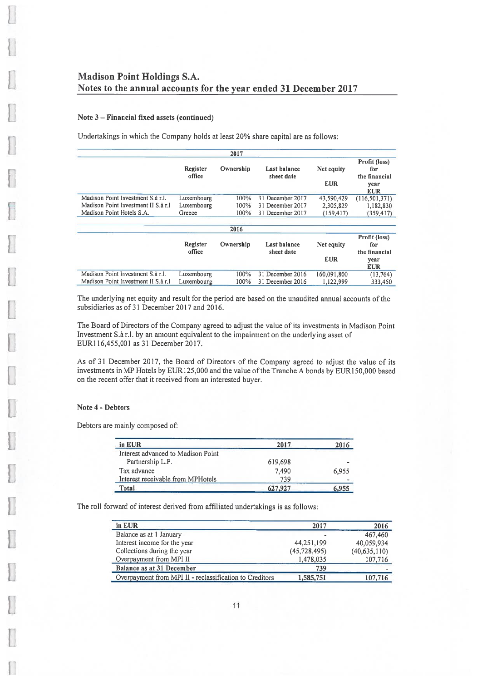# Madison Point Holdings S.A. Notes to the annual accounts for the year ended 31 December 2017

#### Note 3 — Financial fixed assets (continued)

Undertakings in which the Company holds at least 20% share capital are as follows:

|                                      |                    | 2017      |                            |                          |                                                             |
|--------------------------------------|--------------------|-----------|----------------------------|--------------------------|-------------------------------------------------------------|
|                                      | Register<br>office | Ownership | Last balance<br>sheet date | Net equity<br><b>EUR</b> | Profit (loss)<br>for<br>the financial<br>year<br><b>EUR</b> |
| Madison Point Investment S.à r.l.    | Luxembourg         | 100%      | 31 December 2017           | 43,590,429               | (116, 501, 371)                                             |
| Madison Point Investment II S.à r.l. | Luxembourg         | 100%      | 31 December 2017           | 2,305,829                | 1,182,830                                                   |
| Madison Point Hotels S.A.            | Greece             | 100%      | 31 December 2017           | (159, 417)               | (359, 417)                                                  |
|                                      |                    | 2016      |                            |                          |                                                             |
|                                      | Register<br>office | Ownership | Last balance<br>sheet date | Net equity<br><b>EUR</b> | Profit (loss)<br>for<br>the financial<br>year               |
|                                      |                    |           |                            |                          | EUR                                                         |
| Madison Point Investment S.à r.l.    | Luxembourg         | 100%      | 31 December 2016           | 160,091,800              | (13,764)                                                    |
| Madison Point Investment II S.à r.I  | Luxembourg         | 100%      | 31 December 2016           | 1.122.999                | 333,450                                                     |

The underlying net equity and result for the period are based on the unaudited annual accounts of the subsidiaries as of 31 December 2017 and 2016.

The Board of Directors of the Company agreed to adjust the value of its investments in Madison Point Investment S.à r.l. by an amount equivalent to the impairment on the underlying asset of EUR1 16,455,001 as 31 December 2017.

As of 31 December 2017, the Board of Directors of the Company agreed to adjust the value of its investments in MP Hotels by EURI25,000 and the value of the Tranche <sup>A</sup> bonds by EURI5O,000 based on the recent offer that it received from an interested buyer.

#### Note 4 - Debtors

Debtors are mainly composed of:

|         | 2016  |
|---------|-------|
|         |       |
| 619,698 |       |
| 7.490   | 6,955 |
| 739     |       |
| 627,927 | 6,955 |
|         | 2017  |

The roll forward of interest derived from affiliated undertakings is as follows:

| in EUR                                                  | 2017           | 2016           |
|---------------------------------------------------------|----------------|----------------|
| Balance as at 1 January                                 |                | 467,460        |
| Interest income for the year                            | 44,251,199     | 40,059,934     |
| Collections during the year                             | (45, 728, 495) | (40, 635, 110) |
| Overpayment from MPI II                                 | 1,478,035      | 107,716        |
| Balance as at 31 December                               | 739            |                |
| Overpayment from MPI II - reclassification to Creditors | 1,585,751      | 107,716        |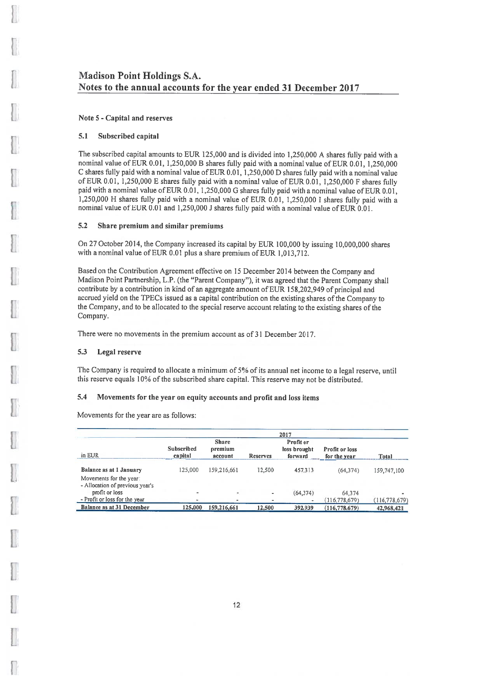# Madison Point Holdings S.A. Notes to the annual accounts for the year ended 31 December 2017

#### Note 5 -Capital and reserves

#### 5.1 Subscribed capital

The subscribed capital amounts to EUR 125,000 and is divided into 1,250,000 A shares fully paid with a nominal value of EUR 0.01, 1,250,000 B shares fully paid with a nominal value of EUR 0.01, 1,250,000 <sup>C</sup> shares fully paid with <sup>a</sup> nominal value of EUR 0.01, 1,250,000 <sup>D</sup> shares fully paid with <sup>a</sup> nominal value of EUR 0.01, 1,250,000 E shares fully paid with a nominal value of EUR 0.01, 1,250,000 F shares fully paid with <sup>a</sup> nominal value ofEUR 0.01, 1,250,000 <sup>G</sup> shares fully paid with <sup>a</sup> nominal value ofEUR 0.01, 1,250,000 <sup>H</sup> shares fully paid with <sup>a</sup> nominal value of EUR 0.01, 1,250,000 <sup>1</sup> shares fully paid with <sup>a</sup> nominal value ofEUR 0.01 and 1,250,000 <sup>J</sup> shares fully paid with <sup>a</sup> nominal value ofEUR 0.01.

#### 5.2 Share premium and similar premiums

On <sup>27</sup> October 2014, the Company increased its capital by EUR 100,000 by issuing 10,000,000 shares with a nominal value of EUR 0.01 plus a share premium of EUR 1,013,712.

Based on the Contribution Agreement effective on <sup>15</sup> December <sup>2014</sup> between the Company and Madison Point Partnership, L.P. (the "Parent Company"), it was agree<sup>d</sup> that the Parent Company shall contribute by a contribution in kind of an aggregate amount of EUR 158,202,949 of principal and accrued yield on the TPECs issued as a capital contribution on the existing shares of the Company to the Company, and to be allocated to the special reserve account relating to the existing shares of the Company.

There were no movements in the premium account as of 31 December 2017.

#### 5.3 Legal reserve

The Company is required to allocate <sup>a</sup> minimum of 5% of its annual net income to <sup>a</sup> legal reserve, until this reserve equals 10% of the subscribed share capital. This reserve may not be distributed.

#### 5.4 Movements for the year on equity accounts and profit and loss items

Movements for the year are as follows:

|                                                            |                              |                                    |          | 2017                                 |                                       |                 |
|------------------------------------------------------------|------------------------------|------------------------------------|----------|--------------------------------------|---------------------------------------|-----------------|
| in EUR                                                     | <b>Subscribed</b><br>capital | <b>Share</b><br>premium<br>account | Reserves | Profit or<br>loss brought<br>forward | <b>Profit or loss</b><br>for the year | <b>Total</b>    |
| Balance as at 1 January                                    | 125,000                      | 159,216,661                        | 12,500   | 457.313                              | (64, 374)                             | 159,747,100     |
| Movements for the year:<br>- Allocation of previous year's |                              |                                    |          |                                      |                                       |                 |
| profit or loss                                             |                              | ÷.                                 | ٠        | (64, 374)                            | 64,374                                |                 |
| - Profit or loss for the year                              |                              |                                    |          |                                      | (116, 778, 679)                       | (116, 778, 679) |
| Balance as at 31 December                                  | 125,000                      | 159,216,661                        | 12,500   | 392,939                              | (116, 778, 679)                       | 42,968,421      |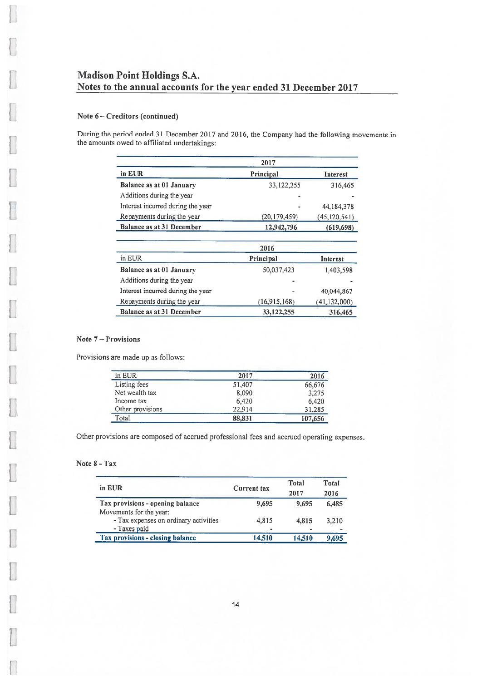## Note 6 — Creditors (continued)

During the period ended <sup>31</sup> December <sup>2017</sup> and 2016, the Company had the following movements in the amounts owed to affiliated undertakings:

|                                   | 2017           |                |  |
|-----------------------------------|----------------|----------------|--|
| in EUR                            | Principal      | Interest       |  |
| Balance as at 01 January          | 33, 122, 255   | 316,465        |  |
| Additions during the year         |                |                |  |
| Interest incurred during the year |                | 44,184,378     |  |
| Repayments during the year        | (20, 179, 459) | (45, 120, 541) |  |
| <b>Balance as at 31 December</b>  | 12,942,796     | (619, 698)     |  |
|                                   | 2016           |                |  |
| in EUR                            | Principal      | Interest       |  |
| Balance as at 01 January          | 50,037,423     | 1,403,598      |  |
| Additions during the year         |                |                |  |
| Interest incurred during the year |                | 40,044,867     |  |
| Repayments during the year        | (16, 915, 168) | (41, 132, 000) |  |
| <b>Balance as at 31 December</b>  | 33,122,255     | 316,465        |  |

## Note 7 — Provisions

I

Provisions are made up as follows:

| in EUR           | 2017   | 2016    |
|------------------|--------|---------|
| Listing fees     | 51,407 | 66,676  |
| Net wealth tax   | 8.090  | 3,275   |
| Income tax       | 6.420  | 6,420   |
| Other provisions | 22,914 | 31,285  |
| Total            | 88,831 | 107,656 |

Other provisions are compose<sup>d</sup> of accrued professional fees and accrued operating expenses.

#### Note 8 - Tax

| in EUR                                | <b>Current tax</b> | Total<br>2017 | Total<br>2016 |
|---------------------------------------|--------------------|---------------|---------------|
| Tax provisions - opening balance      | 9,695              | 9.695         | 6.485         |
| Movements for the year:               |                    |               |               |
| - Tax expenses on ordinary activities | 4.815              | 4,815         | 3.210         |
| - Taxes paid                          |                    |               |               |
| Tax provisions - closing balance      | 14,510             | 14,510        | 9,695         |